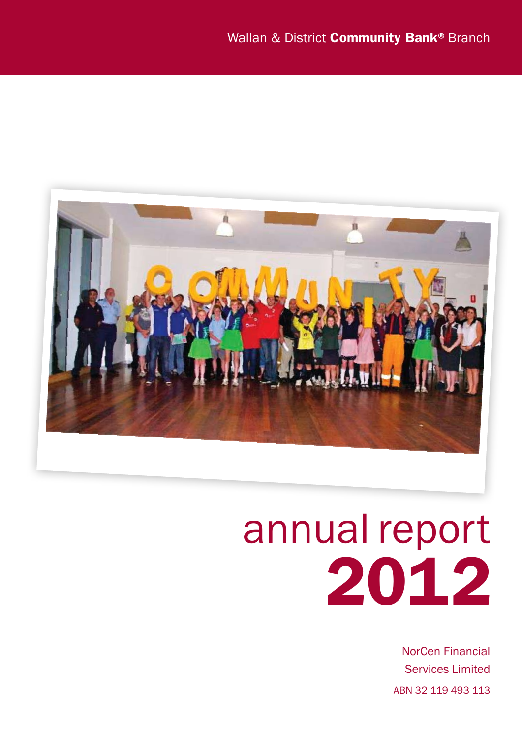

# annual report 2012

NorCen Financial Services Limited ABN 32 119 493 113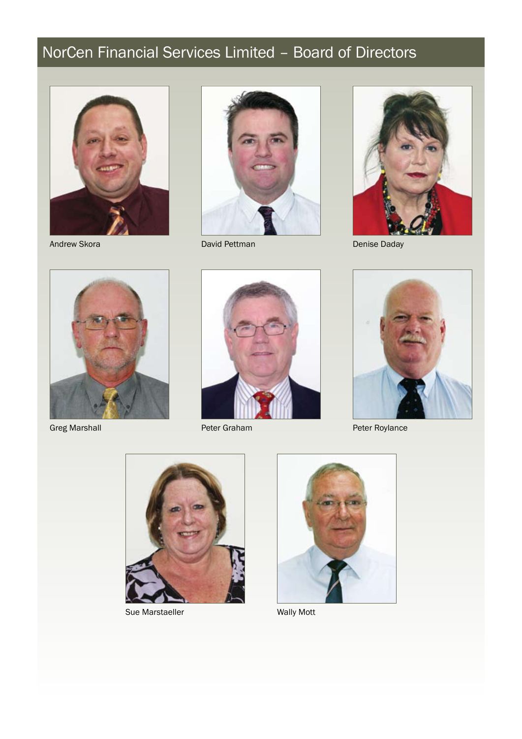## NorCen Financial Services Limited – Board of Directors



Andrew Skora



David Pettman



Denise Daday



Greg Marshall



Peter Graham



Peter Roylance



Sue Marstaeller Wally Mott

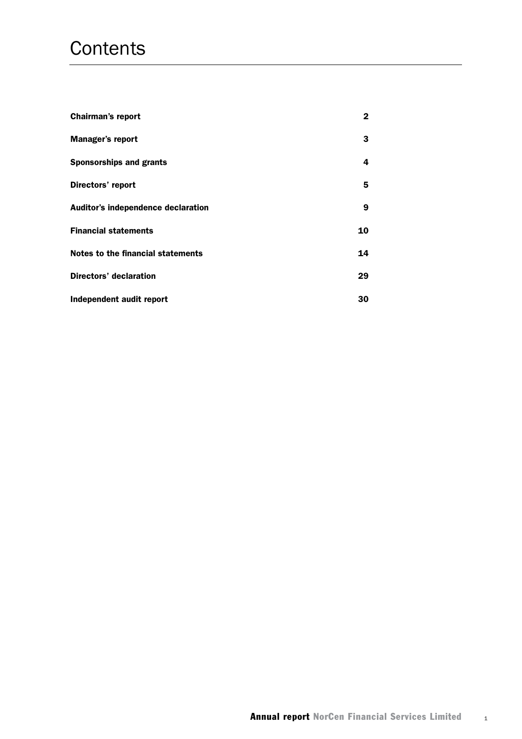## **Contents**

| <b>Chairman's report</b>           | 2  |
|------------------------------------|----|
| <b>Manager's report</b>            | 3  |
| <b>Sponsorships and grants</b>     | 4  |
| Directors' report                  | 5  |
| Auditor's independence declaration | 9  |
| <b>Financial statements</b>        | 10 |
| Notes to the financial statements  | 14 |
| Directors' declaration             | 29 |
| Independent audit report           | 30 |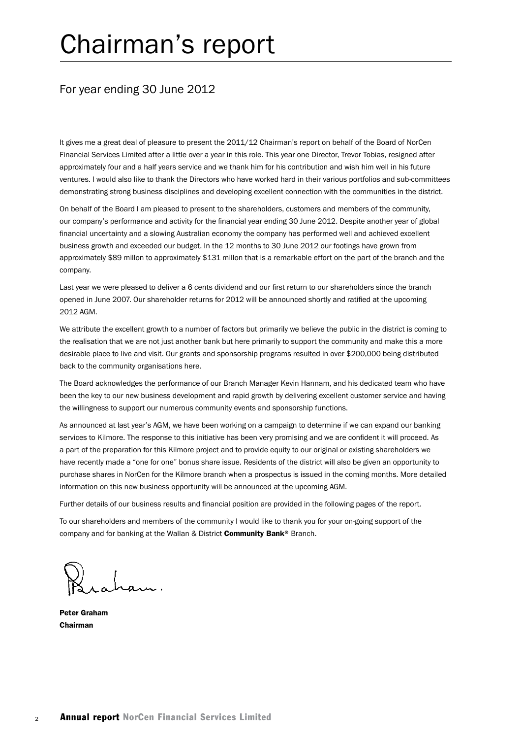## Chairman's report

### For year ending 30 June 2012

It gives me a great deal of pleasure to present the 2011/12 Chairman's report on behalf of the Board of NorCen Financial Services Limited after a little over a year in this role. This year one Director, Trevor Tobias, resigned after approximately four and a half years service and we thank him for his contribution and wish him well in his future ventures. I would also like to thank the Directors who have worked hard in their various portfolios and sub-committees demonstrating strong business disciplines and developing excellent connection with the communities in the district.

On behalf of the Board I am pleased to present to the shareholders, customers and members of the community, our company's performance and activity for the financial year ending 30 June 2012. Despite another year of global financial uncertainty and a slowing Australian economy the company has performed well and achieved excellent business growth and exceeded our budget. In the 12 months to 30 June 2012 our footings have grown from approximately \$89 millon to approximately \$131 millon that is a remarkable effort on the part of the branch and the company.

Last year we were pleased to deliver a 6 cents dividend and our first return to our shareholders since the branch opened in June 2007. Our shareholder returns for 2012 will be announced shortly and ratified at the upcoming 2012 AGM.

We attribute the excellent growth to a number of factors but primarily we believe the public in the district is coming to the realisation that we are not just another bank but here primarily to support the community and make this a more desirable place to live and visit. Our grants and sponsorship programs resulted in over \$200,000 being distributed back to the community organisations here.

The Board acknowledges the performance of our Branch Manager Kevin Hannam, and his dedicated team who have been the key to our new business development and rapid growth by delivering excellent customer service and having the willingness to support our numerous community events and sponsorship functions.

As announced at last year's AGM, we have been working on a campaign to determine if we can expand our banking services to Kilmore. The response to this initiative has been very promising and we are confident it will proceed. As a part of the preparation for this Kilmore project and to provide equity to our original or existing shareholders we have recently made a "one for one" bonus share issue. Residents of the district will also be given an opportunity to purchase shares in NorCen for the Kilmore branch when a prospectus is issued in the coming months. More detailed information on this new business opportunity will be announced at the upcoming AGM.

Further details of our business results and financial position are provided in the following pages of the report.

To our shareholders and members of the community I would like to thank you for your on-going support of the company and for banking at the Wallan & District **Community Bank**® Branch.

Peter Graham Chairman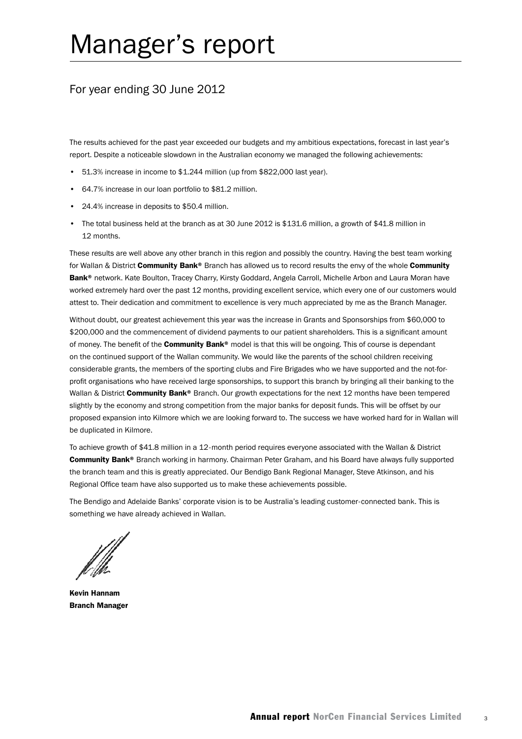## Manager's report

## For year ending 30 June 2012

The results achieved for the past year exceeded our budgets and my ambitious expectations, forecast in last year's report. Despite a noticeable slowdown in the Australian economy we managed the following achievements:

- 51.3% increase in income to \$1.244 million (up from \$822,000 last year).
- 64.7% increase in our loan portfolio to \$81.2 million.
- 24.4% increase in deposits to \$50.4 million.
- The total business held at the branch as at 30 June 2012 is \$131.6 million, a growth of \$41.8 million in 12 months.

These results are well above any other branch in this region and possibly the country. Having the best team working for Wallan & District Community Bank® Branch has allowed us to record results the envy of the whole Community Bank<sup>®</sup> network. Kate Boulton, Tracey Charry, Kirsty Goddard, Angela Carroll, Michelle Arbon and Laura Moran have worked extremely hard over the past 12 months, providing excellent service, which every one of our customers would attest to. Their dedication and commitment to excellence is very much appreciated by me as the Branch Manager.

Without doubt, our greatest achievement this year was the increase in Grants and Sponsorships from \$60,000 to \$200,000 and the commencement of dividend payments to our patient shareholders. This is a significant amount of money. The benefit of the **Community Bank®** model is that this will be ongoing. This of course is dependant on the continued support of the Wallan community. We would like the parents of the school children receiving considerable grants, the members of the sporting clubs and Fire Brigades who we have supported and the not-forprofit organisations who have received large sponsorships, to support this branch by bringing all their banking to the Wallan & District Community Bank® Branch. Our growth expectations for the next 12 months have been tempered slightly by the economy and strong competition from the major banks for deposit funds. This will be offset by our proposed expansion into Kilmore which we are looking forward to. The success we have worked hard for in Wallan will be duplicated in Kilmore.

To achieve growth of \$41.8 million in a 12-month period requires everyone associated with the Wallan & District Community Bank® Branch working in harmony. Chairman Peter Graham, and his Board have always fully supported the branch team and this is greatly appreciated. Our Bendigo Bank Regional Manager, Steve Atkinson, and his Regional Office team have also supported us to make these achievements possible.

The Bendigo and Adelaide Banks' corporate vision is to be Australia's leading customer-connected bank. This is something we have already achieved in Wallan.

Kevin Hannam Branch Manager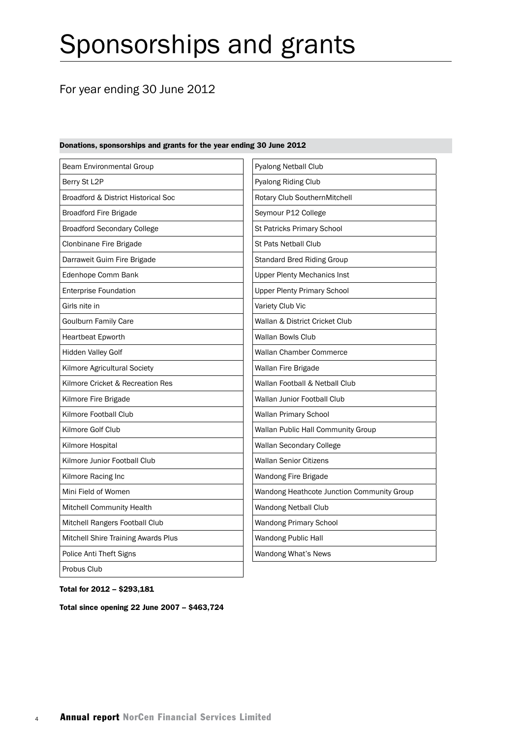## Sponsorships and grants

## For year ending 30 June 2012

#### Beam Environmental Group Berry St L2P Broadford & District Historical Soc Broadford Fire Brigade Broadford Secondary College Clonbinane Fire Brigade Darraweit Guim Fire Brigade Edenhope Comm Bank Enterprise Foundation Girls nite in Goulburn Family Care Heartbeat Epworth Hidden Valley Golf Kilmore Agricultural Society Kilmore Cricket & Recreation Res Kilmore Fire Brigade Kilmore Football Club Kilmore Golf Club Kilmore Hospital Kilmore Junior Football Club Kilmore Racing Inc Mini Field of Women Mitchell Community Health Mitchell Rangers Football Club Mitchell Shire Training Awards Plus Police Anti Theft Signs Probus Club Pyalong Netball Club Pyalong Riding Club Rotary Club SouthernMitchell Seymour P12 College St Patricks Primary School St Pats Netball Club Standard Bred Riding Group Upper Plenty Mechanics Inst Upper Plenty Primary School Variety Club Vic Wallan & District Cricket Club Wallan Bowls Club Wallan Chamber Commerce Wallan Fire Brigade Wallan Football & Netball Club Wallan Junior Football Club Wallan Primary School Wallan Public Hall Community Group Wallan Secondary College Wallan Senior Citizens Wandong Fire Brigade Wandong Heathcote Junction Community Group Wandong Netball Club Wandong Primary School Wandong Public Hall Wandong What's News

#### Donations, sponsorships and grants for the year ending 30 June 2012

Total for 2012 – \$293,181

Total since opening 22 June 2007 – \$463,724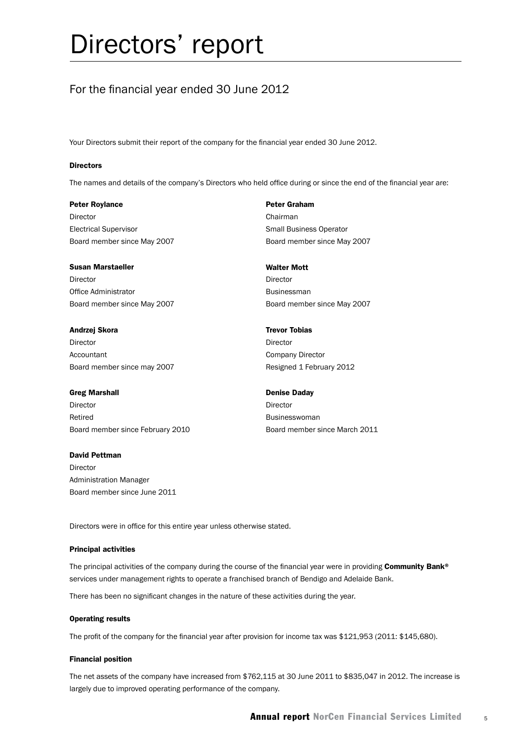## Directors' report

## For the financial year ended 30 June 2012

Your Directors submit their report of the company for the financial year ended 30 June 2012.

#### **Directors**

The names and details of the company's Directors who held office during or since the end of the financial year are:

#### Peter Roylance

Director Electrical Supervisor Board member since May 2007

#### Susan Marstaeller

Director Office Administrator Board member since May 2007

#### Andrzej Skora

Director Accountant Board member since may 2007

#### Greg Marshall

Director Retired Board member since February 2010

#### David Pettman

Director Administration Manager Board member since June 2011

#### Peter Graham

Chairman Small Business Operator Board member since May 2007

#### Walter Mott

Director Businessman Board member since May 2007

#### Trevor Tobias

Director Company Director Resigned 1 February 2012

#### Denise Daday

**Director Businesswoman** Board member since March 2011

Directors were in office for this entire year unless otherwise stated.

#### Principal activities

The principal activities of the company during the course of the financial year were in providing Community Bank® services under management rights to operate a franchised branch of Bendigo and Adelaide Bank.

There has been no significant changes in the nature of these activities during the year.

#### Operating results

The profit of the company for the financial year after provision for income tax was \$121,953 (2011: \$145,680).

#### Financial position

The net assets of the company have increased from \$762,115 at 30 June 2011 to \$835,047 in 2012. The increase is largely due to improved operating performance of the company.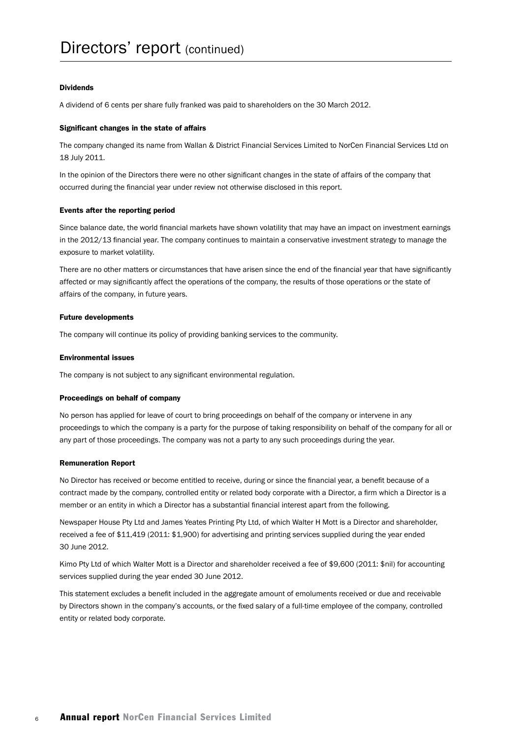#### Dividends

A dividend of 6 cents per share fully franked was paid to shareholders on the 30 March 2012.

#### Significant changes in the state of affairs

The company changed its name from Wallan & District Financial Services Limited to NorCen Financial Services Ltd on 18 July 2011.

In the opinion of the Directors there were no other significant changes in the state of affairs of the company that occurred during the financial year under review not otherwise disclosed in this report.

#### Events after the reporting period

Since balance date, the world financial markets have shown volatility that may have an impact on investment earnings in the 2012/13 financial year. The company continues to maintain a conservative investment strategy to manage the exposure to market volatility.

There are no other matters or circumstances that have arisen since the end of the financial year that have significantly affected or may significantly affect the operations of the company, the results of those operations or the state of affairs of the company, in future years.

#### Future developments

The company will continue its policy of providing banking services to the community.

#### Environmental issues

The company is not subject to any significant environmental regulation.

#### Proceedings on behalf of company

No person has applied for leave of court to bring proceedings on behalf of the company or intervene in any proceedings to which the company is a party for the purpose of taking responsibility on behalf of the company for all or any part of those proceedings. The company was not a party to any such proceedings during the year.

#### Remuneration Report

No Director has received or become entitled to receive, during or since the financial year, a benefit because of a contract made by the company, controlled entity or related body corporate with a Director, a firm which a Director is a member or an entity in which a Director has a substantial financial interest apart from the following.

Newspaper House Pty Ltd and James Yeates Printing Pty Ltd, of which Walter H Mott is a Director and shareholder, received a fee of \$11,419 (2011: \$1,900) for advertising and printing services supplied during the year ended 30 June 2012.

Kimo Pty Ltd of which Walter Mott is a Director and shareholder received a fee of \$9,600 (2011: \$nil) for accounting services supplied during the year ended 30 June 2012.

This statement excludes a benefit included in the aggregate amount of emoluments received or due and receivable by Directors shown in the company's accounts, or the fixed salary of a full-time employee of the company, controlled entity or related body corporate.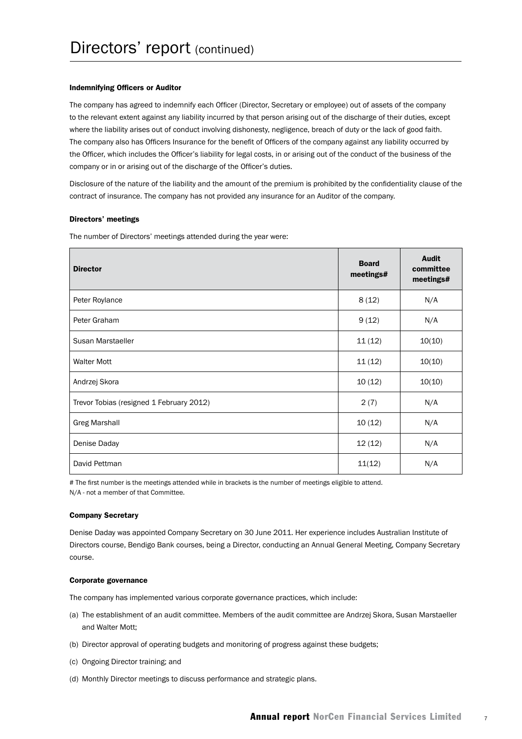#### Indemnifying Officers or Auditor

The company has agreed to indemnify each Officer (Director, Secretary or employee) out of assets of the company to the relevant extent against any liability incurred by that person arising out of the discharge of their duties, except where the liability arises out of conduct involving dishonesty, negligence, breach of duty or the lack of good faith. The company also has Officers Insurance for the benefit of Officers of the company against any liability occurred by the Officer, which includes the Officer's liability for legal costs, in or arising out of the conduct of the business of the company or in or arising out of the discharge of the Officer's duties.

Disclosure of the nature of the liability and the amount of the premium is prohibited by the confidentiality clause of the contract of insurance. The company has not provided any insurance for an Auditor of the company.

#### Directors' meetings

The number of Directors' meetings attended during the year were:

| <b>Director</b>                          | <b>Board</b><br>meetings# | Audit<br>committee<br>meetings# |
|------------------------------------------|---------------------------|---------------------------------|
| Peter Roylance                           | 8(12)                     | N/A                             |
| Peter Graham                             | 9(12)                     | N/A                             |
| Susan Marstaeller                        | 11(12)                    | 10(10)                          |
| <b>Walter Mott</b>                       | 11(12)                    | 10(10)                          |
| Andrzej Skora                            | 10(12)                    | 10(10)                          |
| Trevor Tobias (resigned 1 February 2012) | 2(7)                      | N/A                             |
| <b>Greg Marshall</b>                     | 10(12)                    | N/A                             |
| Denise Daday                             | 12(12)                    | N/A                             |
| David Pettman                            | 11(12)                    | N/A                             |

# The first number is the meetings attended while in brackets is the number of meetings eligible to attend. N/A - not a member of that Committee.

#### Company Secretary

Denise Daday was appointed Company Secretary on 30 June 2011. Her experience includes Australian Institute of Directors course, Bendigo Bank courses, being a Director, conducting an Annual General Meeting, Company Secretary course.

#### Corporate governance

The company has implemented various corporate governance practices, which include:

- (a) The establishment of an audit committee. Members of the audit committee are Andrzej Skora, Susan Marstaeller and Walter Mott;
- (b) Director approval of operating budgets and monitoring of progress against these budgets;
- (c) Ongoing Director training; and
- (d) Monthly Director meetings to discuss performance and strategic plans.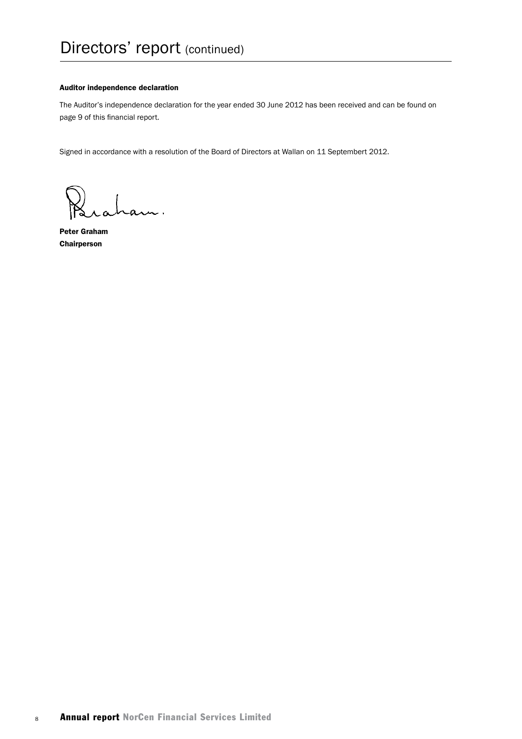#### Auditor independence declaration

The Auditor's independence declaration for the year ended 30 June 2012 has been received and can be found on page 9 of this financial report.

Signed in accordance with a resolution of the Board of Directors at Wallan on 11 Septembert 2012.

am.

Peter Graham Chairperson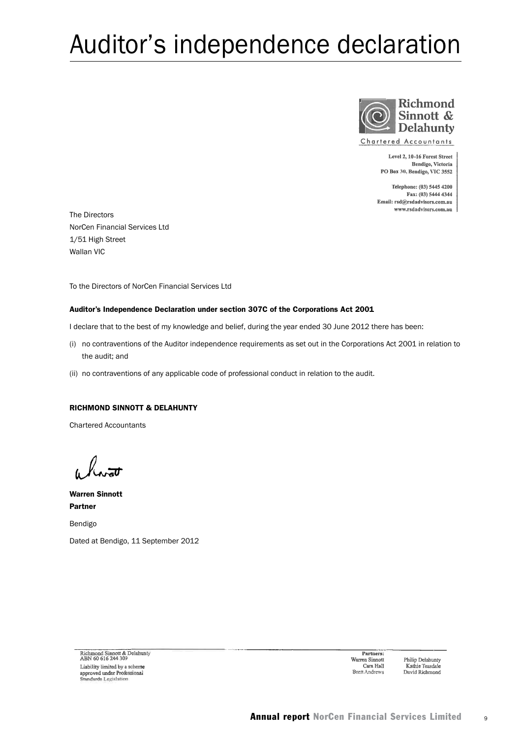## Auditor's independence declaration



**Chartered Accountants** 

Level 2, 10-16 Forest Street Bendigo, Victoria PO Box 30, Bendigo, VIC 3552

Telephone: (03) 5445 4200 Fax: (03) 5444 4344 Email: rsd@rsdadvisors.com.au www.rsdadvisors.com.au

The Directors NorCen Financial Services Ltd 1/51 High Street Wallan VIC

To the Directors of NorCen Financial Services Ltd

#### Auditor's Independence Declaration under section 307C of the Corporations Act 2001

I declare that to the best of my knowledge and belief, during the year ended 30 June 2012 there has been:

- (i) no contraventions of the Auditor independence requirements as set out in the Corporations Act 2001 in relation to the audit; and
- (ii) no contraventions of any applicable code of professional conduct in relation to the audit.

#### RICHMOND SINNOTT & DELAHUNTY

Chartered Accountants

Warren Sinnott Partner

Bendigo Dated at Bendigo, 11 September 2012

Richmond Sinnott & Delahunty<br>ABN 60 616 244 309 Liability limited by a scheme approved under Professional<br>Standards Legislation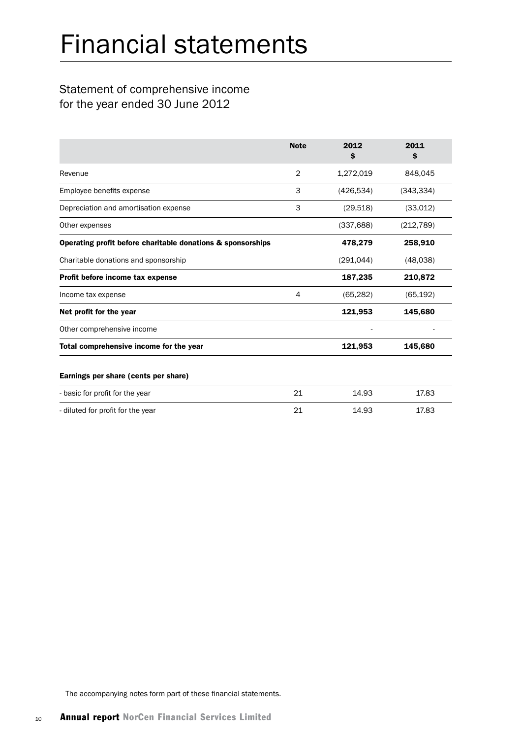## Financial statements

## Statement of comprehensive income for the year ended 30 June 2012

|                                                             | <b>Note</b>    | 2012<br>Ŝ  | 2011<br>Ŝ  |
|-------------------------------------------------------------|----------------|------------|------------|
| Revenue                                                     | $\overline{2}$ | 1,272,019  | 848,045    |
| Employee benefits expense                                   | 3              | (426, 534) | (343, 334) |
| Depreciation and amortisation expense                       | 3              | (29, 518)  | (33,012)   |
| Other expenses                                              |                | (337, 688) | (212, 789) |
| Operating profit before charitable donations & sponsorships |                | 478,279    | 258,910    |
| Charitable donations and sponsorship                        |                | (291, 044) | (48,038)   |
| Profit before income tax expense                            |                | 187,235    | 210,872    |
| Income tax expense                                          | 4              | (65, 282)  | (65, 192)  |
| Net profit for the year                                     |                | 121,953    | 145,680    |
| Other comprehensive income                                  |                |            |            |
| Total comprehensive income for the year                     |                | 121,953    | 145,680    |
| Earnings per share (cents per share)                        |                |            |            |
| - basic for profit for the year                             | 21             | 14.93      | 17.83      |
| - diluted for profit for the year                           | 21             | 14.93      | 17.83      |

The accompanying notes form part of these financial statements.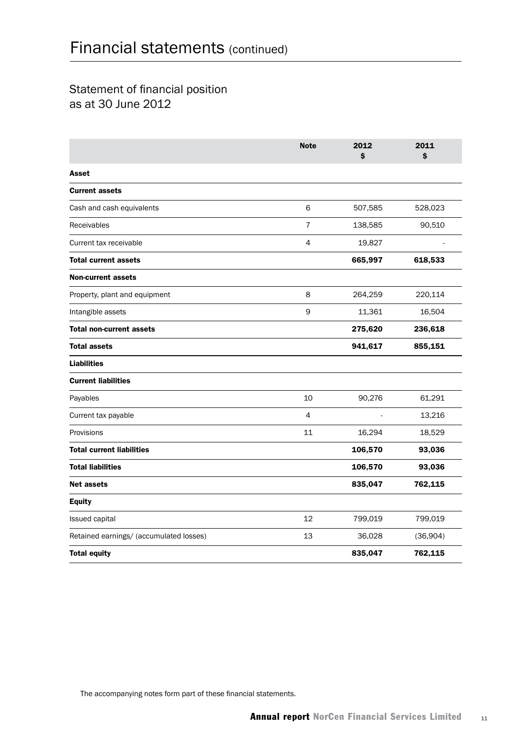## Statement of financial position as at 30 June 2012

|                                         | <b>Note</b>    | 2012<br>Ś | 2011<br>Ś |
|-----------------------------------------|----------------|-----------|-----------|
| Asset                                   |                |           |           |
| <b>Current assets</b>                   |                |           |           |
| Cash and cash equivalents               | 6              | 507,585   | 528,023   |
| Receivables                             | $\overline{7}$ | 138,585   | 90,510    |
| Current tax receivable                  | 4              | 19,827    |           |
| <b>Total current assets</b>             |                | 665,997   | 618,533   |
| <b>Non-current assets</b>               |                |           |           |
| Property, plant and equipment           | 8              | 264,259   | 220,114   |
| Intangible assets                       | 9              | 11,361    | 16,504    |
| <b>Total non-current assets</b>         |                | 275,620   | 236,618   |
| <b>Total assets</b>                     |                | 941,617   | 855,151   |
| <b>Liabilities</b>                      |                |           |           |
| <b>Current liabilities</b>              |                |           |           |
| Payables                                | 10             | 90,276    | 61,291    |
| Current tax payable                     | 4              |           | 13,216    |
| Provisions                              | 11             | 16,294    | 18,529    |
| <b>Total current liabilities</b>        |                | 106,570   | 93,036    |
| <b>Total liabilities</b>                |                | 106,570   | 93,036    |
| <b>Net assets</b>                       |                | 835,047   | 762,115   |
| <b>Equity</b>                           |                |           |           |
| Issued capital                          | 12             | 799,019   | 799,019   |
| Retained earnings/ (accumulated losses) | 13             | 36,028    | (36,904)  |
| <b>Total equity</b>                     |                | 835,047   | 762,115   |

The accompanying notes form part of these financial statements.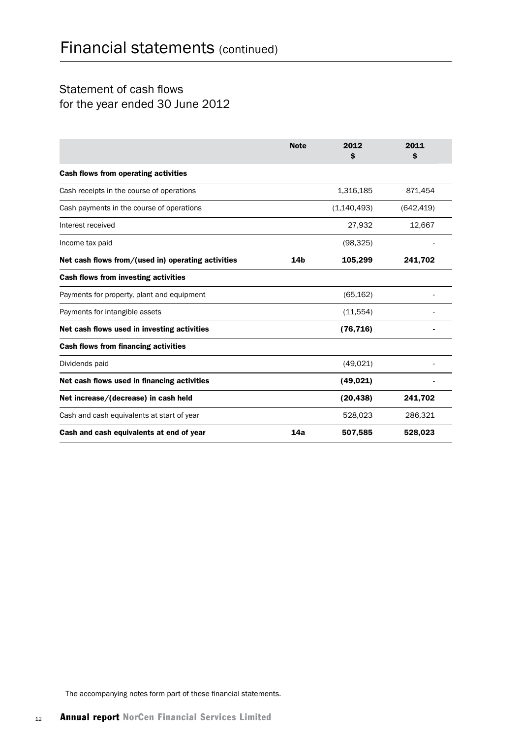## Statement of cash flows for the year ended 30 June 2012

|                                                    | <b>Note</b>     | 2012<br>S   | 2011<br>S  |
|----------------------------------------------------|-----------------|-------------|------------|
| <b>Cash flows from operating activities</b>        |                 |             |            |
| Cash receipts in the course of operations          |                 | 1,316,185   | 871,454    |
| Cash payments in the course of operations          |                 | (1,140,493) | (642, 419) |
| Interest received                                  |                 | 27,932      | 12,667     |
| Income tax paid                                    |                 | (98, 325)   |            |
| Net cash flows from/(used in) operating activities | 14 <sub>b</sub> | 105,299     | 241,702    |
| Cash flows from investing activities               |                 |             |            |
| Payments for property, plant and equipment         |                 | (65, 162)   |            |
| Payments for intangible assets                     |                 | (11, 554)   |            |
| Net cash flows used in investing activities        |                 | (76, 716)   |            |
| <b>Cash flows from financing activities</b>        |                 |             |            |
| Dividends paid                                     |                 | (49, 021)   |            |
| Net cash flows used in financing activities        |                 | (49, 021)   |            |
| Net increase/(decrease) in cash held               |                 | (20, 438)   | 241,702    |
| Cash and cash equivalents at start of year         |                 | 528,023     | 286,321    |
| Cash and cash equivalents at end of year           | 14a             | 507,585     | 528,023    |

The accompanying notes form part of these financial statements.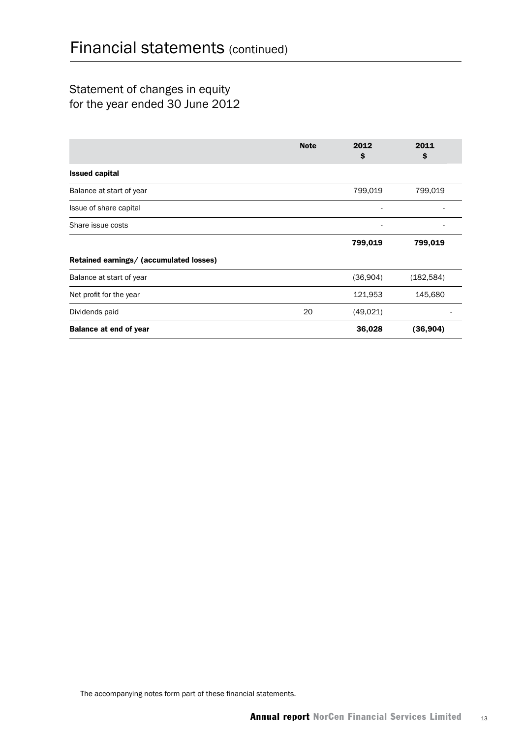## Statement of changes in equity for the year ended 30 June 2012

|                                         | <b>Note</b> | 2012<br>\$ | 2011<br>\$ |
|-----------------------------------------|-------------|------------|------------|
| <b>Issued capital</b>                   |             |            |            |
| Balance at start of year                |             | 799,019    | 799,019    |
| Issue of share capital                  |             |            |            |
| Share issue costs                       |             |            |            |
|                                         |             | 799,019    | 799,019    |
| Retained earnings/ (accumulated losses) |             |            |            |
| Balance at start of year                |             | (36,904)   | (182, 584) |
| Net profit for the year                 |             | 121,953    | 145,680    |
| Dividends paid                          | 20          | (49,021)   |            |
| <b>Balance at end of year</b>           |             | 36,028     | (36, 904)  |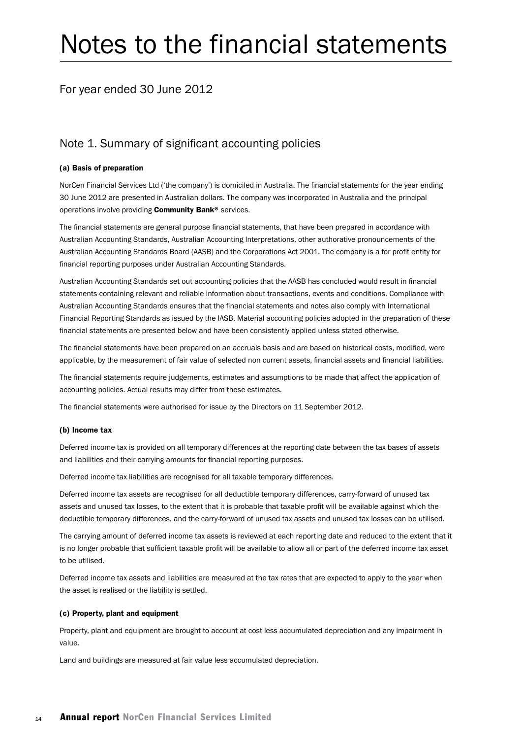## Notes to the financial statements

## For year ended 30 June 2012

### Note 1. Summary of significant accounting policies

#### (a) Basis of preparation

NorCen Financial Services Ltd ('the company') is domiciled in Australia. The financial statements for the year ending 30 June 2012 are presented in Australian dollars. The company was incorporated in Australia and the principal operations involve providing Community Bank® services.

The financial statements are general purpose financial statements, that have been prepared in accordance with Australian Accounting Standards, Australian Accounting Interpretations, other authorative pronouncements of the Australian Accounting Standards Board (AASB) and the Corporations Act 2001. The company is a for profit entity for financial reporting purposes under Australian Accounting Standards.

Australian Accounting Standards set out accounting policies that the AASB has concluded would result in financial statements containing relevant and reliable information about transactions, events and conditions. Compliance with Australian Accounting Standards ensures that the financial statements and notes also comply with International Financial Reporting Standards as issued by the IASB. Material accounting policies adopted in the preparation of these financial statements are presented below and have been consistently applied unless stated otherwise.

The financial statements have been prepared on an accruals basis and are based on historical costs, modified, were applicable, by the measurement of fair value of selected non current assets, financial assets and financial liabilities.

The financial statements require judgements, estimates and assumptions to be made that affect the application of accounting policies. Actual results may differ from these estimates.

The financial statements were authorised for issue by the Directors on 11 September 2012.

#### (b) Income tax

Deferred income tax is provided on all temporary differences at the reporting date between the tax bases of assets and liabilities and their carrying amounts for financial reporting purposes.

Deferred income tax liabilities are recognised for all taxable temporary differences.

Deferred income tax assets are recognised for all deductible temporary differences, carry-forward of unused tax assets and unused tax losses, to the extent that it is probable that taxable profit will be available against which the deductible temporary differences, and the carry-forward of unused tax assets and unused tax losses can be utilised.

The carrying amount of deferred income tax assets is reviewed at each reporting date and reduced to the extent that it is no longer probable that sufficient taxable profit will be available to allow all or part of the deferred income tax asset to be utilised.

Deferred income tax assets and liabilities are measured at the tax rates that are expected to apply to the year when the asset is realised or the liability is settled.

#### (c) Property, plant and equipment

Property, plant and equipment are brought to account at cost less accumulated depreciation and any impairment in value.

Land and buildings are measured at fair value less accumulated depreciation.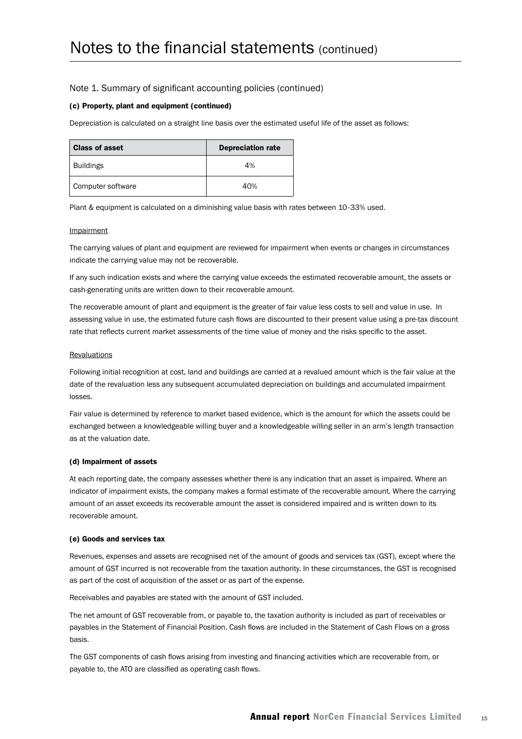#### (c) Property, plant and equipment (continued)

Depreciation is calculated on a straight line basis over the estimated useful life of the asset as follows:

| <b>Class of asset</b> | <b>Depreciation rate</b> |  |
|-----------------------|--------------------------|--|
| <b>Buildings</b>      | 4%                       |  |
| Computer software     | 40%                      |  |

Plant & equipment is calculated on a diminishing value basis with rates between 10-33% used.

#### Impairment

The carrying values of plant and equipment are reviewed for impairment when events or changes in circumstances indicate the carrying value may not be recoverable.

If any such indication exists and where the carrying value exceeds the estimated recoverable amount, the assets or cash-generating units are written down to their recoverable amount.

The recoverable amount of plant and equipment is the greater of fair value less costs to sell and value in use. In assessing value in use, the estimated future cash flows are discounted to their present value using a pre-tax discount rate that reflects current market assessments of the time value of money and the risks specific to the asset.

#### **Revaluations**

Following initial recognition at cost, land and buildings are carried at a revalued amount which is the fair value at the date of the revaluation less any subsequent accumulated depreciation on buildings and accumulated impairment losses.

Fair value is determined by reference to market based evidence, which is the amount for which the assets could be exchanged between a knowledgeable willing buyer and a knowledgeable willing seller in an arm's length transaction as at the valuation date.

#### (d) Impairment of assets

At each reporting date, the company assesses whether there is any indication that an asset is impaired. Where an indicator of impairment exists, the company makes a formal estimate of the recoverable amount. Where the carrying amount of an asset exceeds its recoverable amount the asset is considered impaired and is written down to its recoverable amount.

#### (e) Goods and services tax

Revenues, expenses and assets are recognised net of the amount of goods and services tax (GST), except where the amount of GST incurred is not recoverable from the taxation authority. In these circumstances, the GST is recognised as part of the cost of acquisition of the asset or as part of the expense.

Receivables and payables are stated with the amount of GST included.

The net amount of GST recoverable from, or payable to, the taxation authority is included as part of receivables or payables in the Statement of Financial Position. Cash flows are included in the Statement of Cash Flows on a gross basis.

The GST components of cash flows arising from investing and financing activities which are recoverable from, or payable to, the ATO are classified as operating cash flows.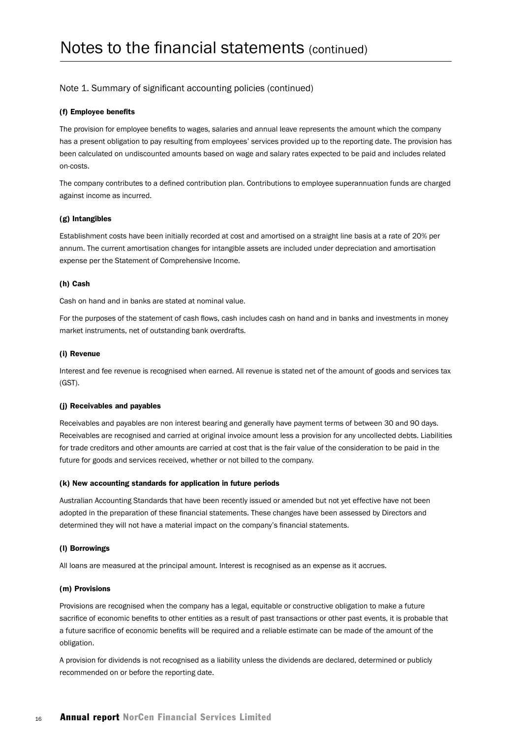#### (f) Employee benefits

The provision for employee benefits to wages, salaries and annual leave represents the amount which the company has a present obligation to pay resulting from employees' services provided up to the reporting date. The provision has been calculated on undiscounted amounts based on wage and salary rates expected to be paid and includes related on-costs.

The company contributes to a defined contribution plan. Contributions to employee superannuation funds are charged against income as incurred.

#### (g) Intangibles

Establishment costs have been initially recorded at cost and amortised on a straight line basis at a rate of 20% per annum. The current amortisation changes for intangible assets are included under depreciation and amortisation expense per the Statement of Comprehensive Income.

#### (h) Cash

Cash on hand and in banks are stated at nominal value.

For the purposes of the statement of cash flows, cash includes cash on hand and in banks and investments in money market instruments, net of outstanding bank overdrafts.

#### (i) Revenue

Interest and fee revenue is recognised when earned. All revenue is stated net of the amount of goods and services tax (GST).

#### (j) Receivables and payables

Receivables and payables are non interest bearing and generally have payment terms of between 30 and 90 days. Receivables are recognised and carried at original invoice amount less a provision for any uncollected debts. Liabilities for trade creditors and other amounts are carried at cost that is the fair value of the consideration to be paid in the future for goods and services received, whether or not billed to the company.

#### (k) New accounting standards for application in future periods

Australian Accounting Standards that have been recently issued or amended but not yet effective have not been adopted in the preparation of these financial statements. These changes have been assessed by Directors and determined they will not have a material impact on the company's financial statements.

#### (l) Borrowings

All loans are measured at the principal amount. Interest is recognised as an expense as it accrues.

#### (m) Provisions

Provisions are recognised when the company has a legal, equitable or constructive obligation to make a future sacrifice of economic benefits to other entities as a result of past transactions or other past events, it is probable that a future sacrifice of economic benefits will be required and a reliable estimate can be made of the amount of the obligation.

A provision for dividends is not recognised as a liability unless the dividends are declared, determined or publicly recommended on or before the reporting date.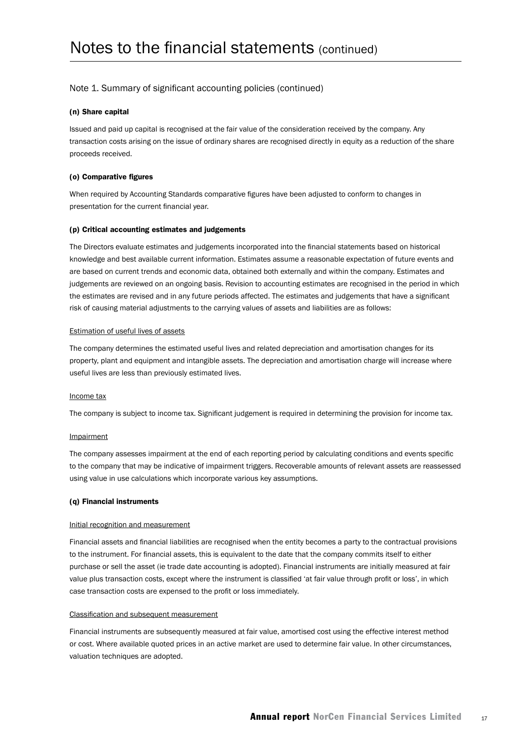#### (n) Share capital

Issued and paid up capital is recognised at the fair value of the consideration received by the company. Any transaction costs arising on the issue of ordinary shares are recognised directly in equity as a reduction of the share proceeds received.

#### (o) Comparative figures

When required by Accounting Standards comparative figures have been adjusted to conform to changes in presentation for the current financial year.

#### (p) Critical accounting estimates and judgements

The Directors evaluate estimates and judgements incorporated into the financial statements based on historical knowledge and best available current information. Estimates assume a reasonable expectation of future events and are based on current trends and economic data, obtained both externally and within the company. Estimates and judgements are reviewed on an ongoing basis. Revision to accounting estimates are recognised in the period in which the estimates are revised and in any future periods affected. The estimates and judgements that have a significant risk of causing material adjustments to the carrying values of assets and liabilities are as follows:

#### Estimation of useful lives of assets

The company determines the estimated useful lives and related depreciation and amortisation changes for its property, plant and equipment and intangible assets. The depreciation and amortisation charge will increase where useful lives are less than previously estimated lives.

#### Income tax

The company is subject to income tax. Significant judgement is required in determining the provision for income tax.

#### Impairment

The company assesses impairment at the end of each reporting period by calculating conditions and events specific to the company that may be indicative of impairment triggers. Recoverable amounts of relevant assets are reassessed using value in use calculations which incorporate various key assumptions.

#### (q) Financial instruments

#### Initial recognition and measurement

Financial assets and financial liabilities are recognised when the entity becomes a party to the contractual provisions to the instrument. For financial assets, this is equivalent to the date that the company commits itself to either purchase or sell the asset (ie trade date accounting is adopted). Financial instruments are initially measured at fair value plus transaction costs, except where the instrument is classified 'at fair value through profit or loss', in which case transaction costs are expensed to the profit or loss immediately.

#### Classification and subsequent measurement

Financial instruments are subsequently measured at fair value, amortised cost using the effective interest method or cost. Where available quoted prices in an active market are used to determine fair value. In other circumstances, valuation techniques are adopted.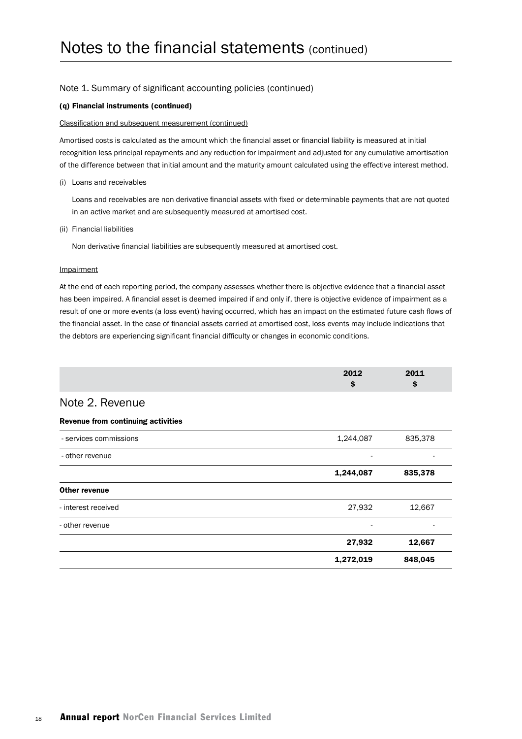#### (q) Financial instruments (continued)

#### Classification and subsequent measurement (continued)

Amortised costs is calculated as the amount which the financial asset or financial liability is measured at initial recognition less principal repayments and any reduction for impairment and adjusted for any cumulative amortisation of the difference between that initial amount and the maturity amount calculated using the effective interest method.

(i) Loans and receivables

Loans and receivables are non derivative financial assets with fixed or determinable payments that are not quoted in an active market and are subsequently measured at amortised cost.

(ii) Financial liabilities

Non derivative financial liabilities are subsequently measured at amortised cost.

#### **Impairment**

At the end of each reporting period, the company assesses whether there is objective evidence that a financial asset has been impaired. A financial asset is deemed impaired if and only if, there is objective evidence of impairment as a result of one or more events (a loss event) having occurred, which has an impact on the estimated future cash flows of the financial asset. In the case of financial assets carried at amortised cost, loss events may include indications that the debtors are experiencing significant financial difficulty or changes in economic conditions.

|                                    | 2012<br>\$ | 2011<br>\$ |
|------------------------------------|------------|------------|
| Note 2. Revenue                    |            |            |
| Revenue from continuing activities |            |            |
| - services commissions             | 1,244,087  | 835,378    |
| - other revenue                    |            |            |
|                                    | 1,244,087  | 835,378    |
| <b>Other revenue</b>               |            |            |
| - interest received                | 27,932     | 12,667     |
| - other revenue                    |            |            |
|                                    | 27,932     | 12,667     |
|                                    | 1,272,019  | 848,045    |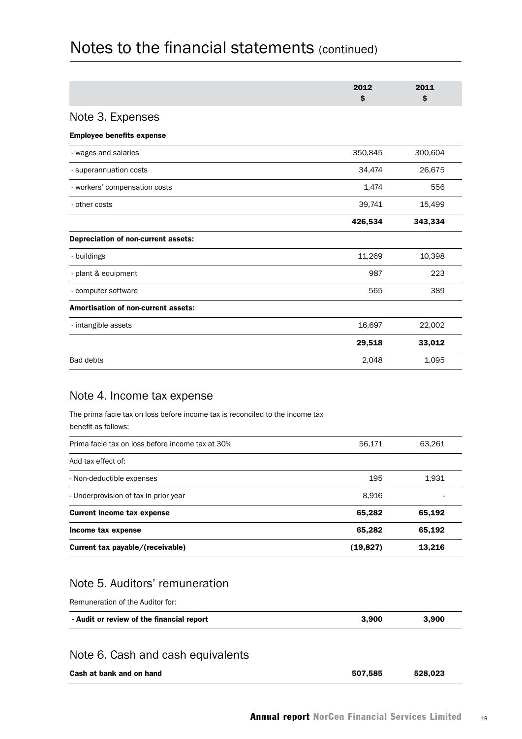|                                            | 2012<br>S | 2011<br>\$ |
|--------------------------------------------|-----------|------------|
| Note 3. Expenses                           |           |            |
| <b>Employee benefits expense</b>           |           |            |
| - wages and salaries                       | 350,845   | 300,604    |
| - superannuation costs                     | 34,474    | 26,675     |
| - workers' compensation costs              | 1,474     | 556        |
| - other costs                              | 39,741    | 15,499     |
|                                            | 426,534   | 343,334    |
| Depreciation of non-current assets:        |           |            |
| - buildings                                | 11,269    | 10,398     |
| - plant & equipment                        | 987       | 223        |
| - computer software                        | 565       | 389        |
| <b>Amortisation of non-current assets:</b> |           |            |
| - intangible assets                        | 16,697    | 22,002     |
|                                            | 29,518    | 33,012     |
| <b>Bad debts</b>                           | 2,048     | 1,095      |

## Note 4. Income tax expense

The prima facie tax on loss before income tax is reconciled to the income tax benefit as follows:

| Prima facie tax on loss before income tax at 30% | 56.171    | 63,261 |
|--------------------------------------------------|-----------|--------|
| Add tax effect of:                               |           |        |
| - Non-deductible expenses                        | 195       | 1,931  |
| - Underprovision of tax in prior year            | 8,916     |        |
| <b>Current income tax expense</b>                | 65,282    | 65,192 |
| Income tax expense                               | 65,282    | 65,192 |
| Current tax payable/(receivable)                 | (19, 827) | 13.216 |

## Note 5. Auditors' remuneration

Remuneration of the Auditor for:

| - Audit or review of the financial report | 3.900 | 3.900 |
|-------------------------------------------|-------|-------|
|-------------------------------------------|-------|-------|

## Note 6. Cash and cash equivalents

| Cash at bank and on hand | 507,585 | 528.023 |
|--------------------------|---------|---------|
|                          |         |         |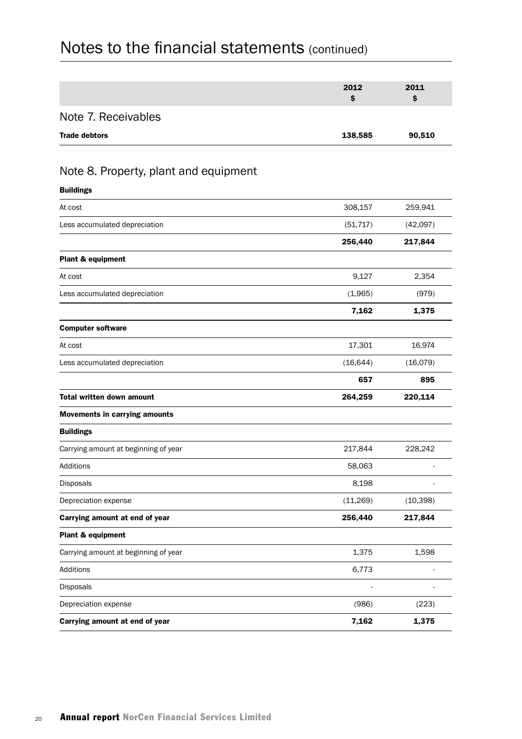|                                       | 2012      | 2011      |
|---------------------------------------|-----------|-----------|
|                                       | \$        | \$        |
| Note 7. Receivables                   |           |           |
| <b>Trade debtors</b>                  | 138,585   | 90,510    |
|                                       |           |           |
| Note 8. Property, plant and equipment |           |           |
| <b>Buildings</b>                      |           |           |
| At cost                               | 308,157   | 259,941   |
| Less accumulated depreciation         | (51, 717) | (42,097)  |
|                                       | 256,440   | 217,844   |
| Plant & equipment                     |           |           |
| At cost                               | 9,127     | 2,354     |
| Less accumulated depreciation         | (1,965)   | (979)     |
|                                       | 7,162     | 1,375     |
| <b>Computer software</b>              |           |           |
| At cost                               | 17,301    | 16,974    |
| Less accumulated depreciation         | (16, 644) | (16,079)  |
|                                       | 657       | 895       |
| <b>Total written down amount</b>      | 264,259   | 220,114   |
| <b>Movements in carrying amounts</b>  |           |           |
| <b>Buildings</b>                      |           |           |
| Carrying amount at beginning of year  | 217,844   | 228,242   |
| Additions                             | 58,063    |           |
| Disposals                             | 8,198     |           |
| Depreciation expense                  | (11,269)  | (10, 398) |
| Carrying amount at end of year        | 256,440   | 217,844   |
| Plant & equipment                     |           |           |
| Carrying amount at beginning of year  | 1,375     | 1,598     |
| Additions                             | 6,773     |           |
| Disposals                             |           |           |
| Depreciation expense                  | (986)     | (223)     |
| Carrying amount at end of year        | 7,162     | 1,375     |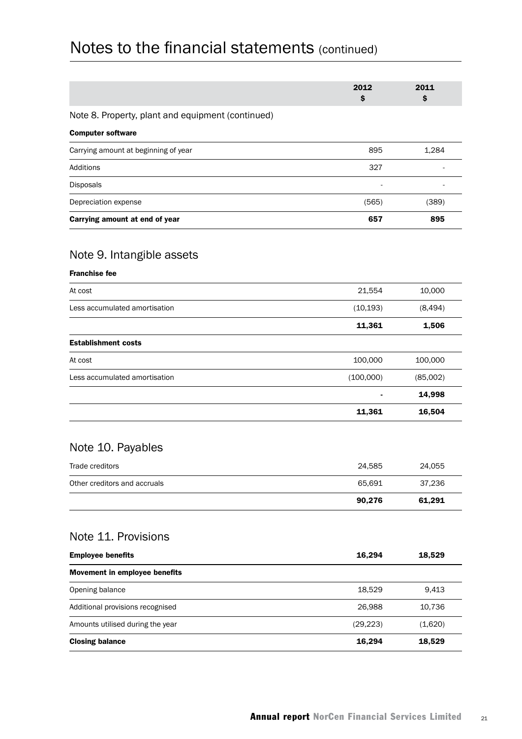|                                                   | 2012<br>\$ | 2011<br>\$ |
|---------------------------------------------------|------------|------------|
| Note 8. Property, plant and equipment (continued) |            |            |
| <b>Computer software</b>                          |            |            |
| Carrying amount at beginning of year              | 895        | 1,284      |
| Additions                                         | 327        |            |
| <b>Disposals</b>                                  |            |            |
| Depreciation expense                              | (565)      | (389)      |
| Carrying amount at end of year                    | 657        | 895        |
| Nota Q Intandihla accatc                          |            |            |

### Note 9. Intangible assets

| <b>Franchise fee</b> |  |
|----------------------|--|
|----------------------|--|

| 11,361         | 16,504   |
|----------------|----------|
| $\blacksquare$ | 14,998   |
| (100,000)      | (85,002) |
| 100,000        | 100,000  |
|                |          |
| 11,361         | 1,506    |
| (10, 193)      | (8, 494) |
| 21,554         | 10,000   |
|                |          |

## Note 10. Payables

|                              | 90.276 | 61.291 |
|------------------------------|--------|--------|
| Other creditors and accruals | 65.691 | 37.236 |
| Trade creditors              | 24.585 | 24.055 |

## Note 11. Provisions

| <b>Employee benefits</b>         | 16,294    | 18,529  |
|----------------------------------|-----------|---------|
| Movement in employee benefits    |           |         |
| Opening balance                  | 18.529    | 9,413   |
| Additional provisions recognised | 26,988    | 10,736  |
| Amounts utilised during the year | (29, 223) | (1,620) |
| <b>Closing balance</b>           | 16.294    | 18,529  |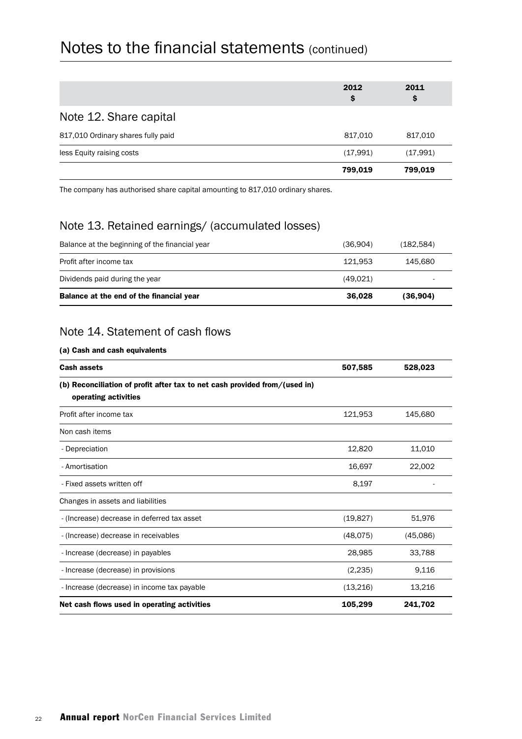|                                    | 2012<br>\$ | 2011<br>\$ |
|------------------------------------|------------|------------|
| Note 12. Share capital             |            |            |
| 817,010 Ordinary shares fully paid | 817,010    | 817,010    |
| less Equity raising costs          | (17,991)   | (17,991)   |
|                                    | 799,019    | 799,019    |

The company has authorised share capital amounting to 817,010 ordinary shares.

## Note 13. Retained earnings/ (accumulated losses)

| Balance at the end of the financial year       | 36.028   | (36,904)  |
|------------------------------------------------|----------|-----------|
| Dividends paid during the year                 | (49.021) |           |
| Profit after income tax                        | 121.953  | 145.680   |
| Balance at the beginning of the financial year | (36,904) | (182,584) |

## Note 14. Statement of cash flows

#### (a) Cash and cash equivalents

| <b>Cash assets</b>                                                                                 | 507,585   | 528,023  |
|----------------------------------------------------------------------------------------------------|-----------|----------|
| (b) Reconciliation of profit after tax to net cash provided from/(used in)<br>operating activities |           |          |
| Profit after income tax                                                                            | 121,953   | 145,680  |
| Non cash items                                                                                     |           |          |
| - Depreciation                                                                                     | 12,820    | 11,010   |
| - Amortisation                                                                                     | 16,697    | 22,002   |
| - Fixed assets written off                                                                         | 8,197     |          |
| Changes in assets and liabilities                                                                  |           |          |
| - (Increase) decrease in deferred tax asset                                                        | (19, 827) | 51,976   |
| - (Increase) decrease in receivables                                                               | (48,075)  | (45,086) |
| - Increase (decrease) in payables                                                                  | 28,985    | 33,788   |
| - Increase (decrease) in provisions                                                                | (2, 235)  | 9,116    |
| - Increase (decrease) in income tax payable                                                        | (13,216)  | 13,216   |
| Net cash flows used in operating activities                                                        | 105,299   | 241,702  |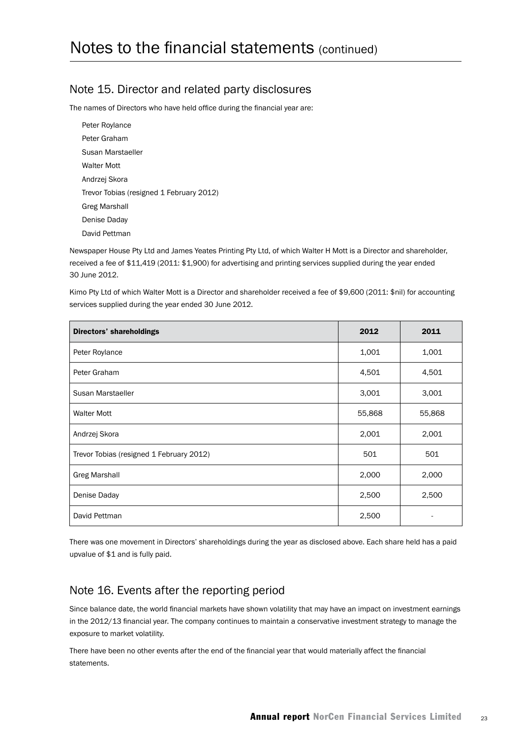### Note 15. Director and related party disclosures

The names of Directors who have held office during the financial year are:

Peter Roylance Peter Graham Susan Marstaeller Walter Mott Andrzej Skora Trevor Tobias (resigned 1 February 2012) Greg Marshall Denise Daday David Pettman

Newspaper House Pty Ltd and James Yeates Printing Pty Ltd, of which Walter H Mott is a Director and shareholder, received a fee of \$11,419 (2011: \$1,900) for advertising and printing services supplied during the year ended 30 June 2012.

Kimo Pty Ltd of which Walter Mott is a Director and shareholder received a fee of \$9,600 (2011: \$nil) for accounting services supplied during the year ended 30 June 2012.

| Directors' shareholdings                 | 2012   | 2011   |
|------------------------------------------|--------|--------|
| Peter Roylance                           | 1,001  | 1,001  |
| Peter Graham                             | 4,501  | 4,501  |
| Susan Marstaeller                        | 3,001  | 3,001  |
| <b>Walter Mott</b>                       | 55,868 | 55,868 |
| Andrzej Skora                            | 2,001  | 2,001  |
| Trevor Tobias (resigned 1 February 2012) | 501    | 501    |
| <b>Greg Marshall</b>                     | 2,000  | 2,000  |
| Denise Daday                             | 2,500  | 2,500  |
| David Pettman                            | 2,500  |        |

There was one movement in Directors' shareholdings during the year as disclosed above. Each share held has a paid upvalue of \$1 and is fully paid.

## Note 16. Events after the reporting period

Since balance date, the world financial markets have shown volatility that may have an impact on investment earnings in the 2012/13 financial year. The company continues to maintain a conservative investment strategy to manage the exposure to market volatility.

There have been no other events after the end of the financial year that would materially affect the financial statements.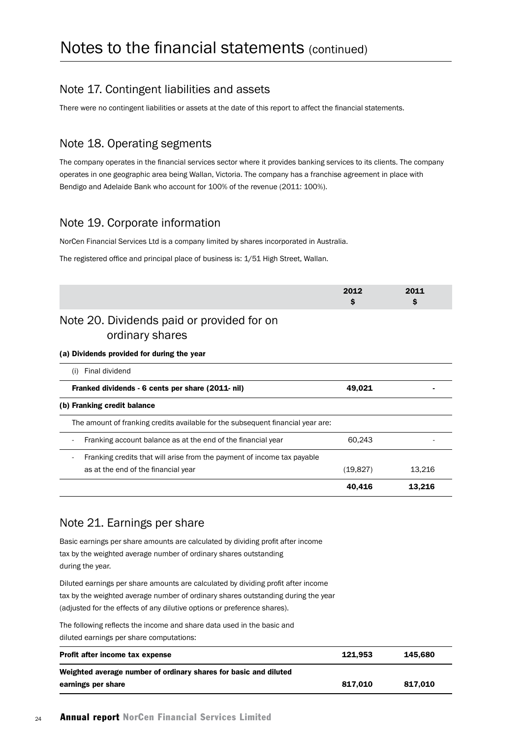### Note 17. Contingent liabilities and assets

There were no contingent liabilities or assets at the date of this report to affect the financial statements.

### Note 18. Operating segments

The company operates in the financial services sector where it provides banking services to its clients. The company operates in one geographic area being Wallan, Victoria. The company has a franchise agreement in place with Bendigo and Adelaide Bank who account for 100% of the revenue (2011: 100%).

### Note 19. Corporate information

NorCen Financial Services Ltd is a company limited by shares incorporated in Australia.

The registered office and principal place of business is: 1/51 High Street, Wallan.

|                                                                                 | 2012<br>s | 2011<br>s |
|---------------------------------------------------------------------------------|-----------|-----------|
| Note 20. Dividends paid or provided for on<br>ordinary shares                   |           |           |
| (a) Dividends provided for during the year                                      |           |           |
| Final dividend<br>(i)                                                           |           |           |
| Franked dividends - 6 cents per share (2011- nil)                               | 49,021    |           |
| (b) Franking credit balance                                                     |           |           |
| The amount of franking credits available for the subsequent financial year are: |           |           |
| Franking account balance as at the end of the financial year                    | 60,243    |           |
| Franking credits that will arise from the payment of income tax payable         |           |           |
| as at the end of the financial year                                             | (19, 827) | 13,216    |
|                                                                                 | 40,416    | 13,216    |

### Note 21. Earnings per share

Basic earnings per share amounts are calculated by dividing profit after income tax by the weighted average number of ordinary shares outstanding during the year.

Diluted earnings per share amounts are calculated by dividing profit after income tax by the weighted average number of ordinary shares outstanding during the year (adjusted for the effects of any dilutive options or preference shares).

The following reflects the income and share data used in the basic and

diluted earnings per share computations:

| Profit after income tax expense                                  | 121.953 | 145.680 |
|------------------------------------------------------------------|---------|---------|
| Weighted average number of ordinary shares for basic and diluted |         |         |
| earnings per share                                               | 817.010 | 817.010 |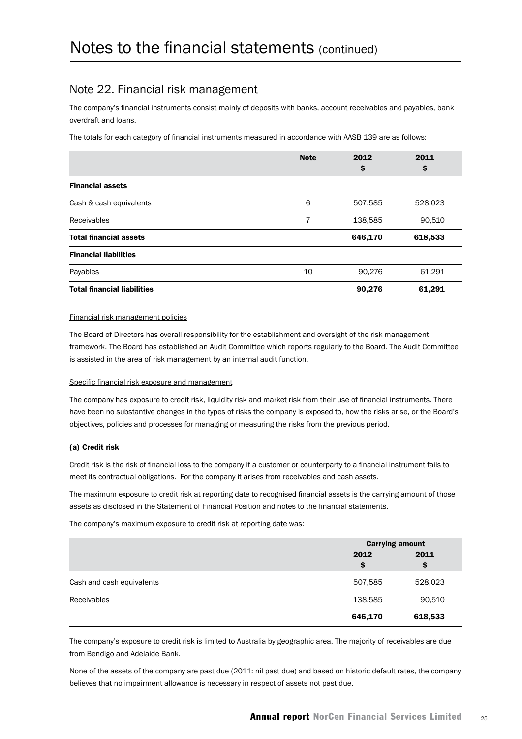### Note 22. Financial risk management

The company's financial instruments consist mainly of deposits with banks, account receivables and payables, bank overdraft and loans.

The totals for each category of financial instruments measured in accordance with AASB 139 are as follows:

|                                    | <b>Note</b> | 2012<br>\$ | 2011<br>\$ |
|------------------------------------|-------------|------------|------------|
| <b>Financial assets</b>            |             |            |            |
| Cash & cash equivalents            | 6           | 507,585    | 528,023    |
| Receivables                        | 7           | 138,585    | 90,510     |
| <b>Total financial assets</b>      |             | 646,170    | 618,533    |
| <b>Financial liabilities</b>       |             |            |            |
| Payables                           | 10          | 90,276     | 61,291     |
| <b>Total financial liabilities</b> |             | 90,276     | 61,291     |

#### Financial risk management policies

The Board of Directors has overall responsibility for the establishment and oversight of the risk management framework. The Board has established an Audit Committee which reports regularly to the Board. The Audit Committee is assisted in the area of risk management by an internal audit function.

#### Specific financial risk exposure and management

The company has exposure to credit risk, liquidity risk and market risk from their use of financial instruments. There have been no substantive changes in the types of risks the company is exposed to, how the risks arise, or the Board's objectives, policies and processes for managing or measuring the risks from the previous period.

#### (a) Credit risk

Credit risk is the risk of financial loss to the company if a customer or counterparty to a financial instrument fails to meet its contractual obligations. For the company it arises from receivables and cash assets.

The maximum exposure to credit risk at reporting date to recognised financial assets is the carrying amount of those assets as disclosed in the Statement of Financial Position and notes to the financial statements.

The company's maximum exposure to credit risk at reporting date was:

|                           |            | <b>Carrying amount</b> |  |
|---------------------------|------------|------------------------|--|
|                           | 2012<br>\$ | 2011<br>\$             |  |
| Cash and cash equivalents | 507,585    | 528,023                |  |
| Receivables               | 138,585    | 90,510                 |  |
|                           | 646,170    | 618,533                |  |

The company's exposure to credit risk is limited to Australia by geographic area. The majority of receivables are due from Bendigo and Adelaide Bank.

None of the assets of the company are past due (2011: nil past due) and based on historic default rates, the company believes that no impairment allowance is necessary in respect of assets not past due.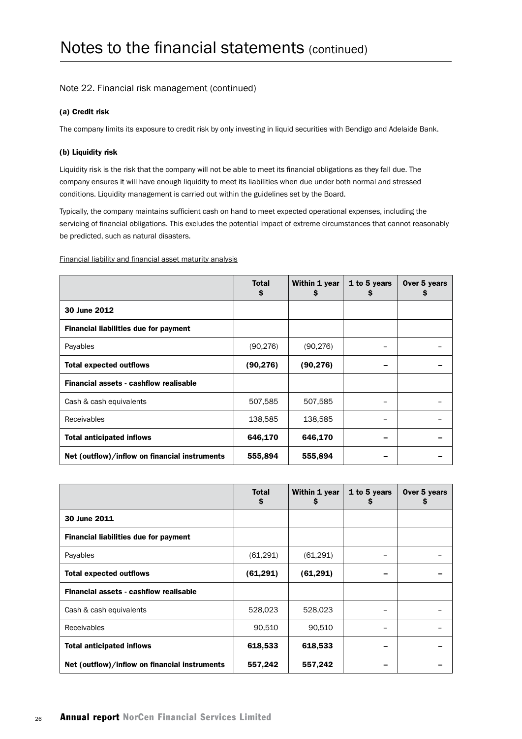#### Note 22. Financial risk management (continued)

#### (a) Credit risk

The company limits its exposure to credit risk by only investing in liquid securities with Bendigo and Adelaide Bank.

#### (b) Liquidity risk

Liquidity risk is the risk that the company will not be able to meet its financial obligations as they fall due. The company ensures it will have enough liquidity to meet its liabilities when due under both normal and stressed conditions. Liquidity management is carried out within the guidelines set by the Board.

Typically, the company maintains sufficient cash on hand to meet expected operational expenses, including the servicing of financial obligations. This excludes the potential impact of extreme circumstances that cannot reasonably be predicted, such as natural disasters.

Financial liability and financial asset maturity analysis

|                                               | <b>Total</b><br>\$ | Within 1 year<br>s | 1 to 5 years<br>s | Over 5 years<br>Ş |
|-----------------------------------------------|--------------------|--------------------|-------------------|-------------------|
| 30 June 2012                                  |                    |                    |                   |                   |
| <b>Financial liabilities due for payment</b>  |                    |                    |                   |                   |
| Payables                                      | (90, 276)          | (90, 276)          |                   |                   |
| <b>Total expected outflows</b>                | (90, 276)          | (90, 276)          |                   |                   |
| Financial assets - cashflow realisable        |                    |                    |                   |                   |
| Cash & cash equivalents                       | 507,585            | 507,585            |                   |                   |
| <b>Receivables</b>                            | 138,585            | 138,585            |                   |                   |
| <b>Total anticipated inflows</b>              | 646,170            | 646,170            |                   |                   |
| Net (outflow)/inflow on financial instruments | 555,894            | 555,894            |                   |                   |

|                                               | <b>Total</b><br>\$ | Within 1 year<br>S | 1 to 5 years<br>s | Over 5 years<br>Ş |
|-----------------------------------------------|--------------------|--------------------|-------------------|-------------------|
| 30 June 2011                                  |                    |                    |                   |                   |
| <b>Financial liabilities due for payment</b>  |                    |                    |                   |                   |
| Payables                                      | (61, 291)          | (61, 291)          |                   |                   |
| <b>Total expected outflows</b>                | (61, 291)          | (61, 291)          |                   |                   |
| Financial assets - cashflow realisable        |                    |                    |                   |                   |
| Cash & cash equivalents                       | 528,023            | 528,023            |                   |                   |
| Receivables                                   | 90,510             | 90,510             |                   |                   |
| <b>Total anticipated inflows</b>              | 618,533            | 618,533            |                   |                   |
| Net (outflow)/inflow on financial instruments | 557,242            | 557,242            |                   |                   |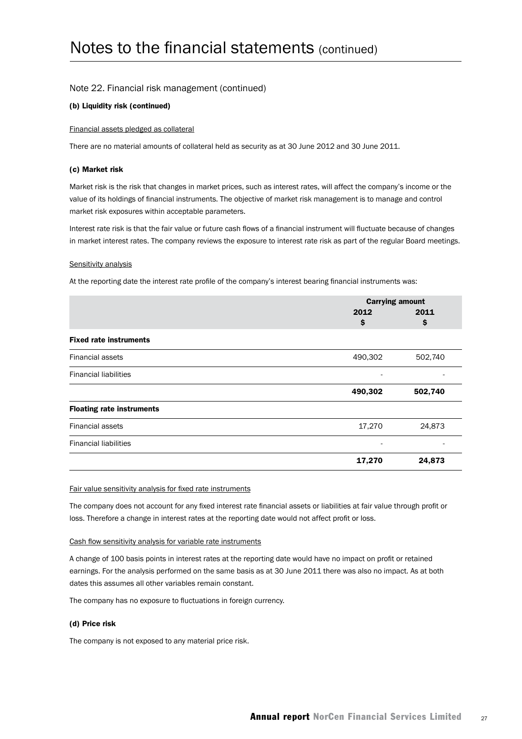#### Note 22. Financial risk management (continued)

#### (b) Liquidity risk (continued)

#### Financial assets pledged as collateral

There are no material amounts of collateral held as security as at 30 June 2012 and 30 June 2011.

#### (c) Market risk

Market risk is the risk that changes in market prices, such as interest rates, will affect the company's income or the value of its holdings of financial instruments. The objective of market risk management is to manage and control market risk exposures within acceptable parameters.

Interest rate risk is that the fair value or future cash flows of a financial instrument will fluctuate because of changes in market interest rates. The company reviews the exposure to interest rate risk as part of the regular Board meetings.

#### Sensitivity analysis

At the reporting date the interest rate profile of the company's interest bearing financial instruments was:

| 2012<br>\$ | 2011<br>\$ |
|------------|------------|
|            |            |
|            |            |
|            |            |
| 490,302    | 502,740    |
| ۰          |            |
| 490,302    | 502,740    |
|            |            |
| 17,270     | 24,873     |
| ۰          |            |
| 17,270     | 24,873     |
|            |            |

#### Fair value sensitivity analysis for fixed rate instruments

The company does not account for any fixed interest rate financial assets or liabilities at fair value through profit or loss. Therefore a change in interest rates at the reporting date would not affect profit or loss.

#### Cash flow sensitivity analysis for variable rate instruments

A change of 100 basis points in interest rates at the reporting date would have no impact on profit or retained earnings. For the analysis performed on the same basis as at 30 June 2011 there was also no impact. As at both dates this assumes all other variables remain constant.

The company has no exposure to fluctuations in foreign currency.

#### (d) Price risk

The company is not exposed to any material price risk.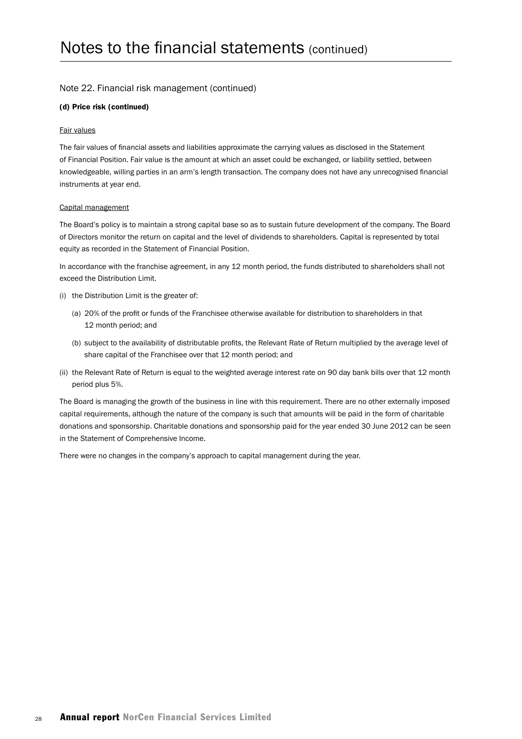#### Note 22. Financial risk management (continued)

#### (d) Price risk (continued)

#### Fair values

The fair values of financial assets and liabilities approximate the carrying values as disclosed in the Statement of Financial Position. Fair value is the amount at which an asset could be exchanged, or liability settled, between knowledgeable, willing parties in an arm's length transaction. The company does not have any unrecognised financial instruments at year end.

#### Capital management

The Board's policy is to maintain a strong capital base so as to sustain future development of the company. The Board of Directors monitor the return on capital and the level of dividends to shareholders. Capital is represented by total equity as recorded in the Statement of Financial Position.

In accordance with the franchise agreement, in any 12 month period, the funds distributed to shareholders shall not exceed the Distribution Limit.

- (i) the Distribution Limit is the greater of:
	- (a) 20% of the profit or funds of the Franchisee otherwise available for distribution to shareholders in that 12 month period; and
	- (b) subject to the availability of distributable profits, the Relevant Rate of Return multiplied by the average level of share capital of the Franchisee over that 12 month period; and
- (ii) the Relevant Rate of Return is equal to the weighted average interest rate on 90 day bank bills over that 12 month period plus 5%.

The Board is managing the growth of the business in line with this requirement. There are no other externally imposed capital requirements, although the nature of the company is such that amounts will be paid in the form of charitable donations and sponsorship. Charitable donations and sponsorship paid for the year ended 30 June 2012 can be seen in the Statement of Comprehensive Income.

There were no changes in the company's approach to capital management during the year.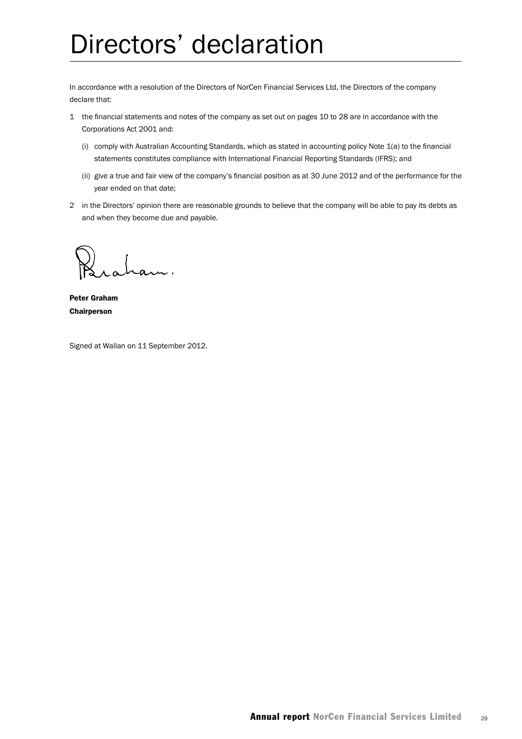## Directors' declaration

In accordance with a resolution of the Directors of NorCen Financial Services Ltd, the Directors of the company declare that:

- 1 the financial statements and notes of the company as set out on pages 10 to 28 are in accordance with the Corporations Act 2001 and:
	- (i) comply with Australian Accounting Standards, which as stated in accounting policy Note 1(a) to the financial statements constitutes compliance with International Financial Reporting Standards (IFRS); and
	- (ii) give a true and fair view of the company's financial position as at 30 June 2012 and of the performance for the year ended on that date;
- 2 in the Directors' opinion there are reasonable grounds to believe that the company will be able to pay its debts as and when they become due and payable.

Peter Graham Chairperson

Signed at Wallan on 11 September 2012.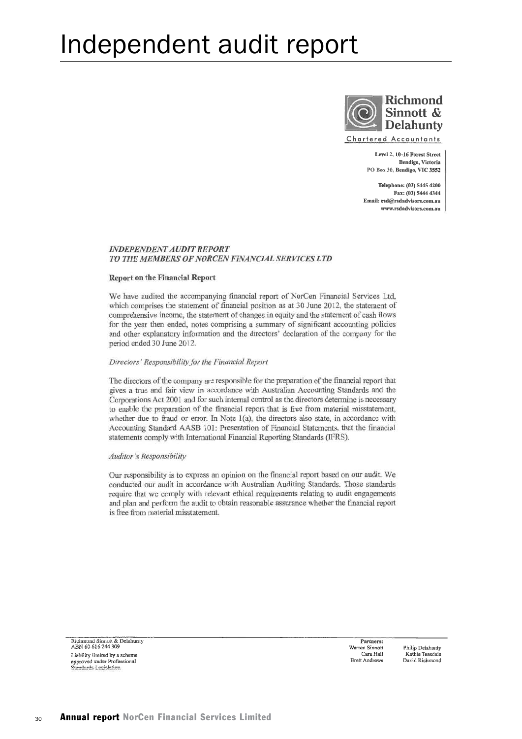## Independent audit report



Level 2, 10-16 Forest Street

Bendigo, Victoria PO Box 30, Bendigo, VIC 3552 Telephone: (03) 5445 4200

Fax: (03) 5444 4344 Email: red@redadvisors.com.au www.rsdadvisors.com.an

#### **INDEPENDENT AUDIT REPORT** TO THE MEMBERS OF NORCEN FINANCIAL SERVICES LTD

#### **Report on the Financial Report**

We have audited the accompanying financial report of NorCen Financial Services Ltd. which comprises the statement of financial position as at 30 June 2012, the statement of comprehensive income, the statement of changes in equity and the statement of cash flows for the year then ended, notes comprising a summary of significant accounting policies and other explanatory information and the directors' declaration of the company for the period ended 30 June 2012.

#### Directors' Responsibility for the Financial Report

The directors of the company are responsible for the preparation of the financial report that gives a true and fair view in accordance with Australian Accounting Standards and the Corporations Act 2001 and for such internal control as the directors determine is necessary to enable the preparation of the financial report that is free from material misstatement, whether due to fraud or error. In Note  $1(a)$ , the directors also state, in accordance with Accounting Standard AASB 101: Presentation of Financial Statements, that the financial statements comply with International Financial Reporting Standards (IFRS).

#### **Auditor's Responsibility**

Our responsibility is to express an opinion on the financial report based on our audit. We conducted our audit in accordance with Australian Auditing Standards. Those standards require that we comply with relevant ethical requirements relating to audit engagements and plan and perform the audit to obtain reasonable assurance whether the financial report is free from material misstatement.

Richmond Sinnott & Delahunty ABN 60 616 244 309 Liability limited by a scheme approved under Professional<br>Standards Legislation

Partners: Warren Sinnott Cara Hall **Brett Andrews** 

Philip Delahunty Kathie Teasdale David Richmond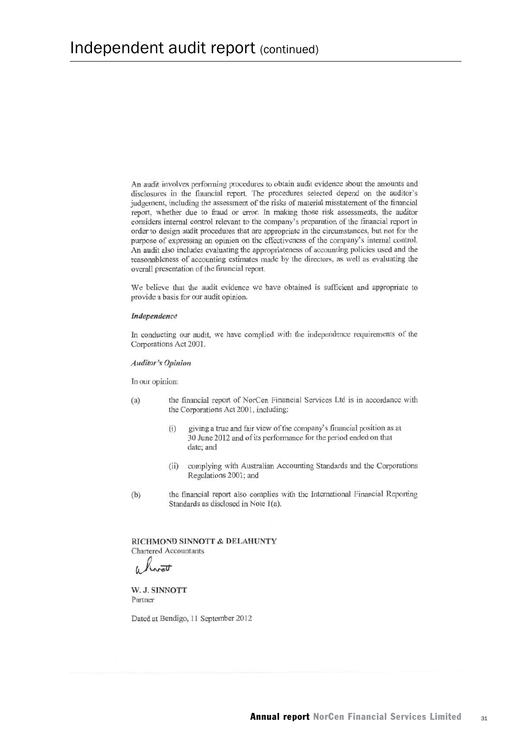An audit involves performing procedures to obtain audit evidence about the amounts and disclosures in the financial report. The procedures selected depend on the auditor's judgement, including the assessment of the risks of material misstatement of the financial report, whether due to fraud or error. In making those risk assessments, the auditor considers internal control relevant to the company's preparation of the financial report in order to design audit procedures that are appropriate in the circumstances, but not for the purpose of expressing an opinion on the effectiveness of the company's internal control. An audit also includes evaluating the appropriateness of accounting policies used and the reasonableness of accounting estimates made by the directors, as well as evaluating the overall presentation of the financial report.

We believe that the audit evidence we have obtained is sufficient and appropriate to provide a basis for our audit opinion.

#### Independence

In conducting our audit, we have complied with the independence requirements of the Corporations Act 2001.

#### **Auditor's Opinion**

In our opinion:

- the financial report of NorCen Financial Services Ltd is in accordance with  $(a)$ the Corporations Act 2001, including:
	- giving a true and fair view of the company's financial position as at  $(i)$ 30 June 2012 and of its performance for the period ended on that date; and
	- complying with Australian Accounting Standards and the Corporations  $(ii)$ Regulations 2001; and
- the financial report also complies with the International Financial Reporting  $(b)$ Standards as disclosed in Note 1(a).

RICHMOND SINNOTT & DELAHUNTY **Chartered Accountants** 

 $\overline{u}$ 

W. J. SINNOTT Partner

Dated at Bendigo, 11 September 2012